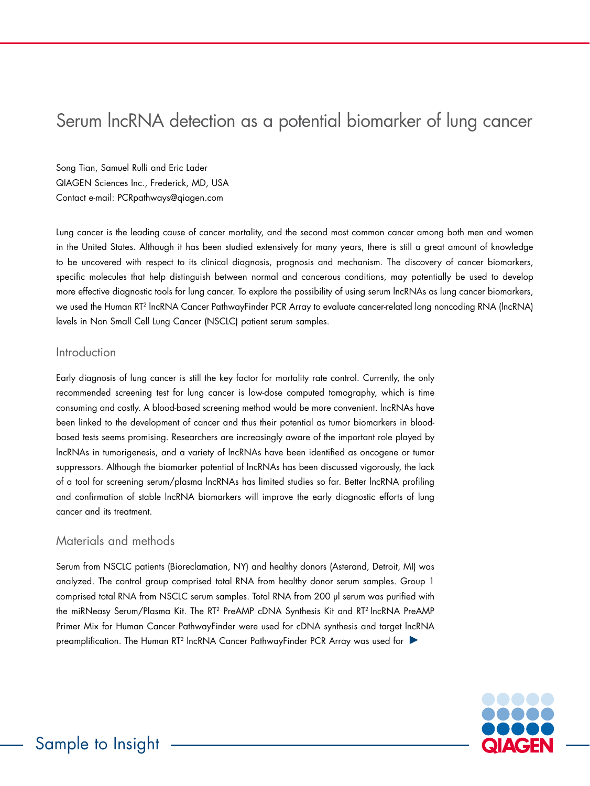# Serum lncRNA detection as a potential biomarker of lung cancer

Song Tian, Samuel Rulli and Eric Lader QIAGEN Sciences Inc., Frederick, MD, USA Contact e-mail: PCRpathways@qiagen.com

Lung cancer is the leading cause of cancer mortality, and the second most common cancer among both men and women in the United States. Although it has been studied extensively for many years, there is still a great amount of knowledge to be uncovered with respect to its clinical diagnosis, prognosis and mechanism. The discovery of cancer biomarkers, specific molecules that help distinguish between normal and cancerous conditions, may potentially be used to develop more effective diagnostic tools for lung cancer. To explore the possibility of using serum lncRNAs as lung cancer biomarkers, we used the Human RT2 lncRNA Cancer PathwayFinder PCR Array to evaluate cancer-related long noncoding RNA (lncRNA) levels in Non Small Cell Lung Cancer (NSCLC) patient serum samples.

### Introduction

Early diagnosis of lung cancer is still the key factor for mortality rate control. Currently, the only recommended screening test for lung cancer is low-dose computed tomography, which is time consuming and costly. A blood-based screening method would be more convenient. lncRNAs have been linked to the development of cancer and thus their potential as tumor biomarkers in bloodbased tests seems promising. Researchers are increasingly aware of the important role played by lncRNAs in tumorigenesis, and a variety of lncRNAs have been identified as oncogene or tumor suppressors. Although the biomarker potential of lncRNAs has been discussed vigorously, the lack of a tool for screening serum/plasma lncRNAs has limited studies so far. Better lncRNA profiling and confirmation of stable lncRNA biomarkers will improve the early diagnostic efforts of lung cancer and its treatment.

## Materials and methods

Serum from NSCLC patients (Bioreclamation, NY) and healthy donors (Asterand, Detroit, MI) was analyzed. The control group comprised total RNA from healthy donor serum samples. Group 1 comprised total RNA from NSCLC serum samples. Total RNA from 200 µl serum was purified with the miRNeasy Serum/Plasma Kit. The RT2 PreAMP cDNA Synthesis Kit and RT2 lncRNA PreAMP Primer Mix for Human Cancer PathwayFinder were used for cDNA synthesis and target lncRNA preamplification. The Human RT<sup>2</sup> IncRNA Cancer PathwayFinder PCR Array was used for

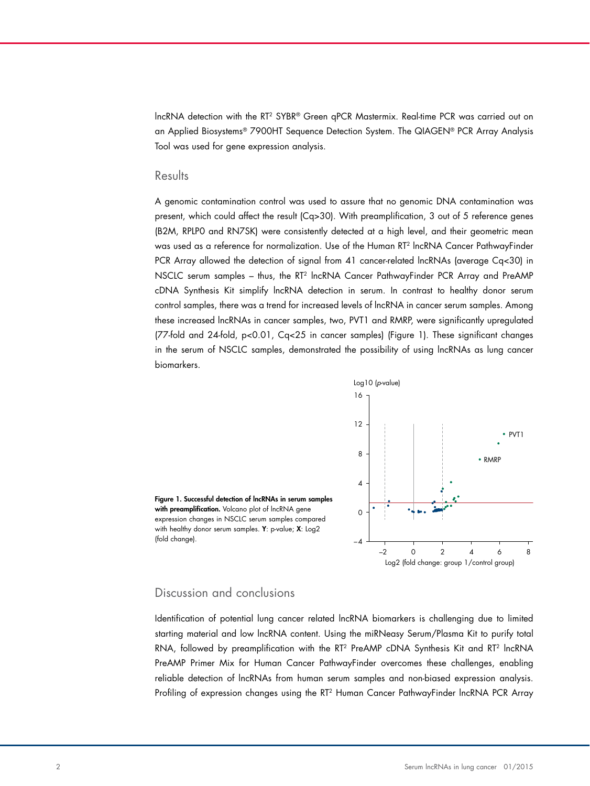lncRNA detection with the RT2 SYBR® Green qPCR Mastermix. Real-time PCR was carried out on an Applied Biosystems® 7900HT Sequence Detection System. The QIAGEN® PCR Array Analysis Tool was used for gene expression analysis.

#### Results

A genomic contamination control was used to assure that no genomic DNA contamination was present, which could affect the result (Cq>30). With preamplification, 3 out of 5 reference genes (B2M, RPLP0 and RN7SK) were consistently detected at a high level, and their geometric mean was used as a reference for normalization. Use of the Human RT2 lncRNA Cancer PathwayFinder PCR Array allowed the detection of signal from 41 cancer-related lncRNAs (average Cq<30) in NSCLC serum samples – thus, the RT2 lncRNA Cancer PathwayFinder PCR Array and PreAMP cDNA Synthesis Kit simplify lncRNA detection in serum. In contrast to healthy donor serum control samples, there was a trend for increased levels of lncRNA in cancer serum samples. Among these increased lncRNAs in cancer samples, two, PVT1 and RMRP, were significantly upregulated (77-fold and 24-fold, p<0.01, Cq<25 in cancer samples) (Figure 1). These significant changes in the serum of NSCLC samples, demonstrated the possibility of using lncRNAs as lung cancer biomarkers.



Figure 1. Successful detection of lncRNAs in serum samples with preamplification. Volcano plot of lncRNA gene expression changes in NSCLC serum samples compared with healthy donor serum samples. Y: p-value; X: Log2 (fold change).  $\qquad \qquad \Box$ 

#### Discussion and conclusions

Identification of potential lung cancer related lncRNA biomarkers is challenging due to limited starting material and low lncRNA content. Using the miRNeasy Serum/Plasma Kit to purify total RNA, followed by preamplification with the RT<sup>2</sup> PreAMP cDNA Synthesis Kit and RT<sup>2</sup> IncRNA PreAMP Primer Mix for Human Cancer PathwayFinder overcomes these challenges, enabling reliable detection of lncRNAs from human serum samples and non-biased expression analysis. Profiling of expression changes using the RT2 Human Cancer PathwayFinder lncRNA PCR Array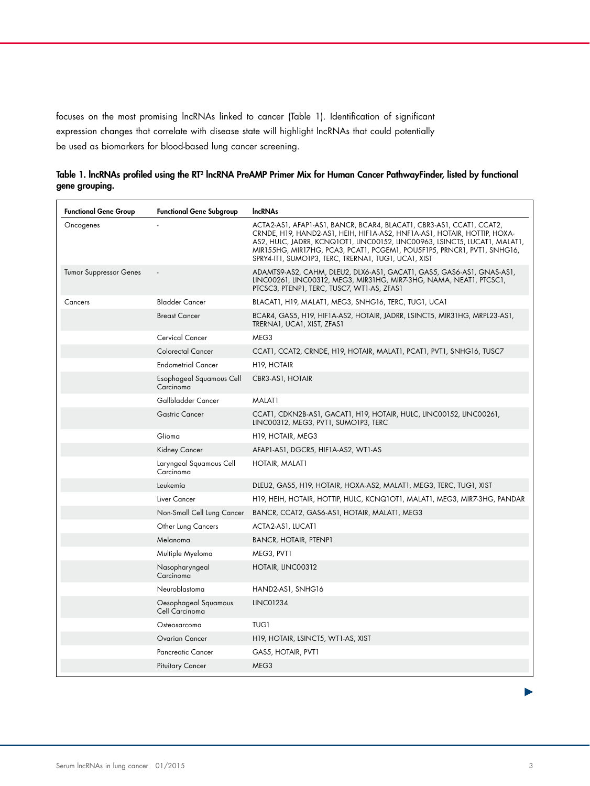focuses on the most promising lncRNAs linked to cancer (Table 1). Identification of significant expression changes that correlate with disease state will highlight lncRNAs that could potentially be used as biomarkers for blood-based lung cancer screening.

| <b>Functional Gene Group</b>  | <b>Functional Gene Subgroup</b>        | <b>IncRNAs</b>                                                                                                                                                                                                                                                                                                                                                   |
|-------------------------------|----------------------------------------|------------------------------------------------------------------------------------------------------------------------------------------------------------------------------------------------------------------------------------------------------------------------------------------------------------------------------------------------------------------|
| Oncogenes                     |                                        | ACTA2-AS1, AFAP1-AS1, BANCR, BCAR4, BLACAT1, CBR3-AS1, CCAT1, CCAT2,<br>CRNDE, H19, HAND2-AS1, HEIH, HIF1A-AS2, HNF1A-AS1, HOTAIR, HOTTIP, HOXA-<br>AS2, HULC, JADRR, KCNQ1OT1, LINC00152, LINC00963, LSINCT5, LUCAT1, MALAT1,<br>MIRI55HG, MIRI7HG, PCA3, PCATI, PCGEMI, POU5FIP5, PRNCRI, PVTI, SNHGI6,<br>SPRY4-IT1, SUMO1P3, TERC, TRERNA1, TUG1, UCA1, XIST |
| <b>Tumor Suppressor Genes</b> |                                        | ADAMTS9-AS2, CAHM, DLEU2, DLX6-AS1, GACAT1, GAS5, GAS6-AS1, GNAS-AS1,<br>LINC00261, LINC00312, MEG3, MIR31HG, MIR7-3HG, NAMA, NEAT1, PTCSC1,<br>PTCSC3, PTENP1, TERC, TUSC7, WT1-AS, ZFAS1                                                                                                                                                                       |
| Cancers                       | <b>Bladder Cancer</b>                  | BLACATI, H19, MALATI, MEG3, SNHG16, TERC, TUG1, UCA1                                                                                                                                                                                                                                                                                                             |
|                               | <b>Breast Cancer</b>                   | BCAR4, GAS5, H19, HIF1A-AS2, HOTAIR, JADRR, LSINCT5, MIR31HG, MRPL23-AS1,<br>TRERNA1, UCA1, XIST, ZFAS1                                                                                                                                                                                                                                                          |
|                               | <b>Cervical Cancer</b>                 | MEG3                                                                                                                                                                                                                                                                                                                                                             |
|                               | <b>Colorectal Cancer</b>               | CCAT1, CCAT2, CRNDE, H19, HOTAIR, MALAT1, PCAT1, PVT1, SNHG16, TUSC7                                                                                                                                                                                                                                                                                             |
|                               | <b>Endometrial Cancer</b>              | H <sub>19</sub> , HOTAIR                                                                                                                                                                                                                                                                                                                                         |
|                               | Esophageal Squamous Cell<br>Carcinoma  | CBR3-AS1, HOTAIR                                                                                                                                                                                                                                                                                                                                                 |
|                               | Gallbladder Cancer                     | MALAT1                                                                                                                                                                                                                                                                                                                                                           |
|                               | <b>Gastric Cancer</b>                  | CCAT1, CDKN2B-AS1, GACAT1, H19, HOTAIR, HULC, LINC00152, LINC00261,<br>LINC00312, MEG3, PVT1, SUMO1P3, TERC                                                                                                                                                                                                                                                      |
|                               | Glioma                                 | H <sub>19</sub> , HOTAIR, MEG3                                                                                                                                                                                                                                                                                                                                   |
|                               | Kidney Cancer                          | AFAP1-AS1, DGCR5, HIF1A-AS2, WT1-AS                                                                                                                                                                                                                                                                                                                              |
|                               | Laryngeal Squamous Cell<br>Carcinoma   | HOTAIR, MALATI                                                                                                                                                                                                                                                                                                                                                   |
|                               | Leukemia                               | DLEU2, GAS5, H19, HOTAIR, HOXA-AS2, MALAT1, MEG3, TERC, TUG1, XIST                                                                                                                                                                                                                                                                                               |
|                               | Liver Cancer                           | H19, HEIH, HOTAIR, HOTTIP, HULC, KCNQ1OT1, MALAT1, MEG3, MIR7-3HG, PANDAR                                                                                                                                                                                                                                                                                        |
|                               | Non-Small Cell Lung Cancer             | BANCR, CCAT2, GAS6-AS1, HOTAIR, MALAT1, MEG3                                                                                                                                                                                                                                                                                                                     |
|                               | <b>Other Lung Cancers</b>              | ACTA2-AS1, LUCAT1                                                                                                                                                                                                                                                                                                                                                |
|                               | Melanoma                               | <b>BANCR, HOTAIR, PTENP1</b>                                                                                                                                                                                                                                                                                                                                     |
|                               | Multiple Myeloma                       | MEG3, PVT1                                                                                                                                                                                                                                                                                                                                                       |
|                               | Nasopharyngeal<br>Carcinoma            | HOTAIR, LINC00312                                                                                                                                                                                                                                                                                                                                                |
|                               | Neuroblastoma                          | HAND2-AS1, SNHG16                                                                                                                                                                                                                                                                                                                                                |
|                               | Oesophageal Squamous<br>Cell Carcinoma | LINC01234                                                                                                                                                                                                                                                                                                                                                        |
|                               | Osteosarcoma                           | <b>TUG1</b>                                                                                                                                                                                                                                                                                                                                                      |
|                               | Ovarian Cancer                         | H19, HOTAIR, LSINCT5, WT1-AS, XIST                                                                                                                                                                                                                                                                                                                               |
|                               | <b>Pancreatic Cancer</b>               | GAS5, HOTAIR, PVT1                                                                                                                                                                                                                                                                                                                                               |
|                               | <b>Pituitary Cancer</b>                | MEG3                                                                                                                                                                                                                                                                                                                                                             |

| Table 1. IncRNAs profiled using the RT <sup>2</sup> IncRNA PreAMP Primer Mix for Human Cancer PathwayFinder, listed by functional |  |  |
|-----------------------------------------------------------------------------------------------------------------------------------|--|--|
| gene grouping.                                                                                                                    |  |  |

 $\blacktriangleright$